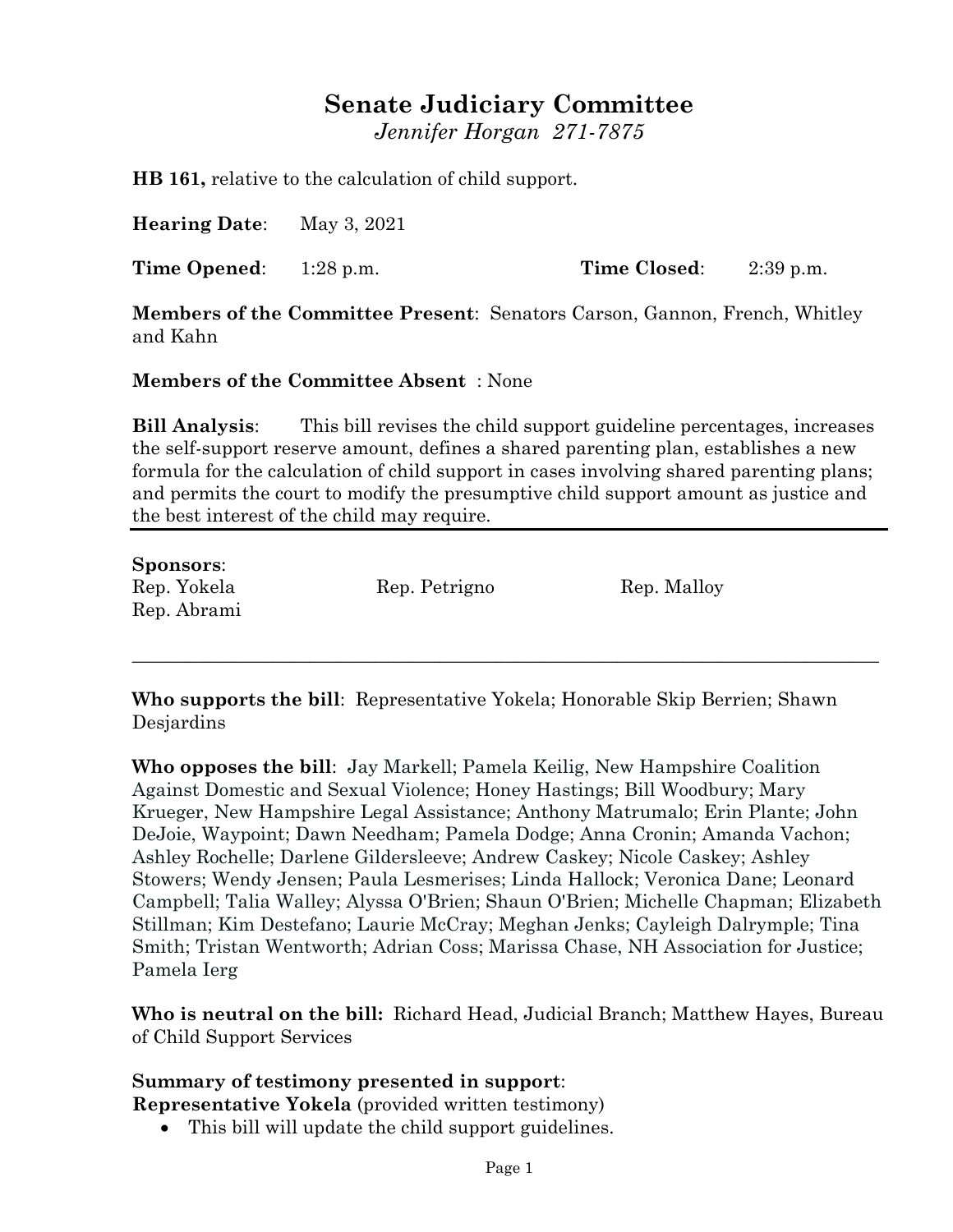# **Senate Judiciary Committee**

*Jennifer Horgan 271-7875*

**HB 161,** relative to the calculation of child support.

**Hearing Date**: May 3, 2021

**Time Opened**: 1:28 p.m. **Time Closed**: 2:39 p.m.

**Members of the Committee Present**: Senators Carson, Gannon, French, Whitley and Kahn

#### **Members of the Committee Absent** : None

**Bill Analysis**: This bill revises the child support guideline percentages, increases the self-support reserve amount, defines a shared parenting plan, establishes a new formula for the calculation of child support in cases involving shared parenting plans; and permits the court to modify the presumptive child support amount as justice and the best interest of the child may require.

## **Sponsors**: Rep. Yokela Rep. Petrigno Rep. Malloy Rep. Abrami

**Who supports the bill**: Representative Yokela; Honorable Skip Berrien; Shawn **Desjardins** 

\_\_\_\_\_\_\_\_\_\_\_\_\_\_\_\_\_\_\_\_\_\_\_\_\_\_\_\_\_\_\_\_\_\_\_\_\_\_\_\_\_\_\_\_\_\_\_\_\_\_\_\_\_\_\_\_\_\_\_\_\_\_\_\_\_\_\_\_\_\_\_\_\_\_\_\_\_\_\_\_

**Who opposes the bill**: Jay Markell; Pamela Keilig, New Hampshire Coalition Against Domestic and Sexual Violence; Honey Hastings; Bill Woodbury; Mary Krueger, New Hampshire Legal Assistance; Anthony Matrumalo; Erin Plante; John DeJoie, Waypoint; Dawn Needham; Pamela Dodge; Anna Cronin; Amanda Vachon; Ashley Rochelle; Darlene Gildersleeve; Andrew Caskey; Nicole Caskey; Ashley Stowers; Wendy Jensen; Paula Lesmerises; Linda Hallock; Veronica Dane; Leonard Campbell; Talia Walley; Alyssa O'Brien; Shaun O'Brien; Michelle Chapman; Elizabeth Stillman; Kim Destefano; Laurie McCray; Meghan Jenks; Cayleigh Dalrymple; Tina Smith; Tristan Wentworth; Adrian Coss; Marissa Chase, NH Association for Justice; Pamela Ierg

**Who is neutral on the bill:** Richard Head, Judicial Branch; Matthew Hayes, Bureau of Child Support Services

#### **Summary of testimony presented in support**:

**Representative Yokela** (provided written testimony)

This bill will update the child support guidelines.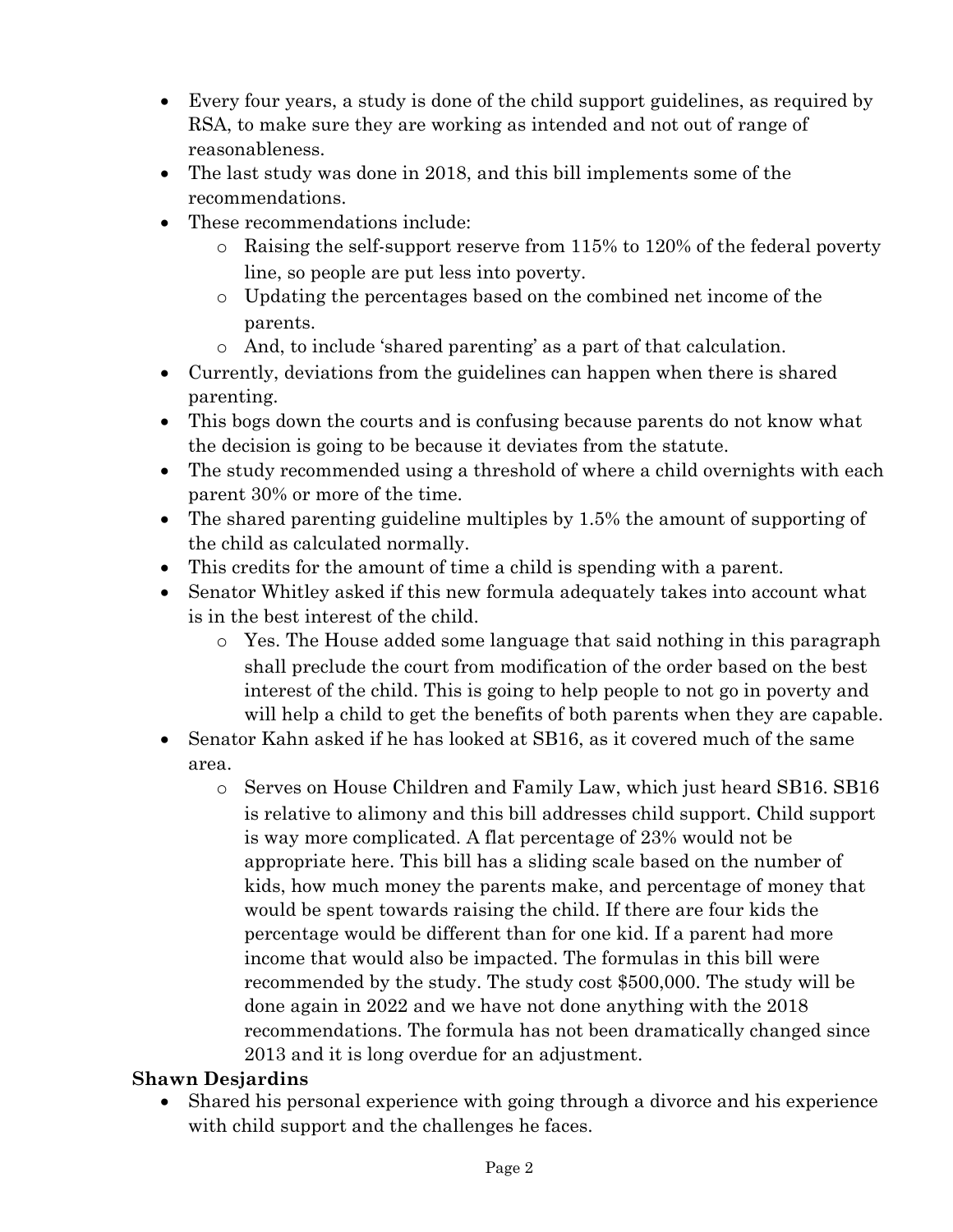- Every four years, a study is done of the child support guidelines, as required by RSA, to make sure they are working as intended and not out of range of reasonableness.
- The last study was done in 2018, and this bill implements some of the recommendations.
- These recommendations include:
	- o Raising the self-support reserve from 115% to 120% of the federal poverty line, so people are put less into poverty.
	- o Updating the percentages based on the combined net income of the parents.
	- o And, to include 'shared parenting' as a part of that calculation.
- Currently, deviations from the guidelines can happen when there is shared parenting.
- This bogs down the courts and is confusing because parents do not know what the decision is going to be because it deviates from the statute.
- The study recommended using a threshold of where a child overnights with each parent 30% or more of the time.
- The shared parenting guideline multiples by 1.5% the amount of supporting of the child as calculated normally.
- This credits for the amount of time a child is spending with a parent.
- Senator Whitley asked if this new formula adequately takes into account what is in the best interest of the child.
	- o Yes. The House added some language that said nothing in this paragraph shall preclude the court from modification of the order based on the best interest of the child. This is going to help people to not go in poverty and will help a child to get the benefits of both parents when they are capable.
- Senator Kahn asked if he has looked at SB16, as it covered much of the same area.
	- o Serves on House Children and Family Law, which just heard SB16. SB16 is relative to alimony and this bill addresses child support. Child support is way more complicated. A flat percentage of 23% would not be appropriate here. This bill has a sliding scale based on the number of kids, how much money the parents make, and percentage of money that would be spent towards raising the child. If there are four kids the percentage would be different than for one kid. If a parent had more income that would also be impacted. The formulas in this bill were recommended by the study. The study cost \$500,000. The study will be done again in 2022 and we have not done anything with the 2018 recommendations. The formula has not been dramatically changed since 2013 and it is long overdue for an adjustment.

#### **Shawn Desjardins**

 Shared his personal experience with going through a divorce and his experience with child support and the challenges he faces.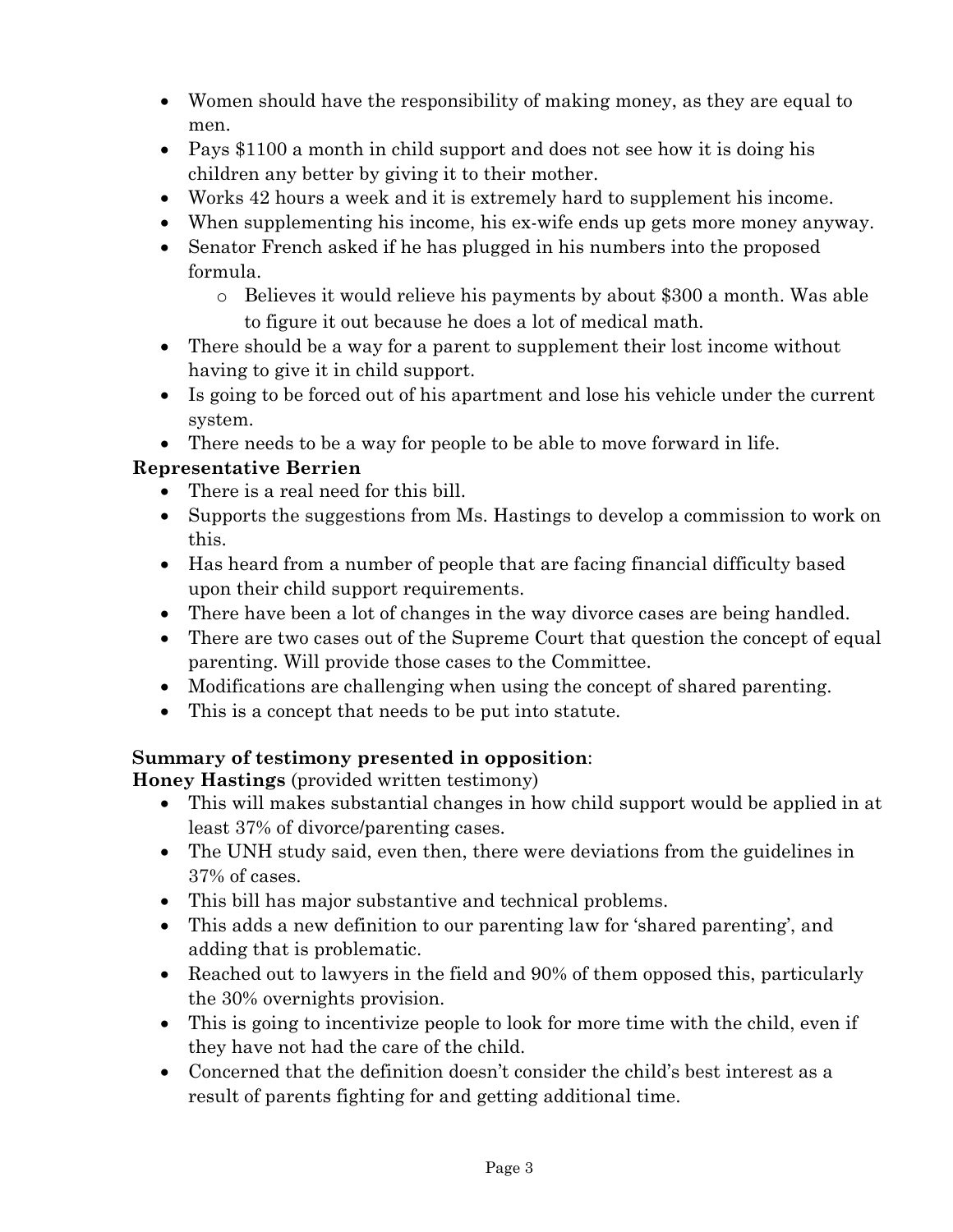- Women should have the responsibility of making money, as they are equal to men.
- Pays \$1100 a month in child support and does not see how it is doing his children any better by giving it to their mother.
- Works 42 hours a week and it is extremely hard to supplement his income.
- When supplementing his income, his ex-wife ends up gets more money anyway.
- Senator French asked if he has plugged in his numbers into the proposed formula.
	- o Believes it would relieve his payments by about \$300 a month. Was able to figure it out because he does a lot of medical math.
- There should be a way for a parent to supplement their lost income without having to give it in child support.
- Is going to be forced out of his apartment and lose his vehicle under the current system.

There needs to be a way for people to be able to move forward in life.

### **Representative Berrien**

- There is a real need for this bill.
- Supports the suggestions from Ms. Hastings to develop a commission to work on this.
- Has heard from a number of people that are facing financial difficulty based upon their child support requirements.
- There have been a lot of changes in the way divorce cases are being handled.
- There are two cases out of the Supreme Court that question the concept of equal parenting. Will provide those cases to the Committee.
- Modifications are challenging when using the concept of shared parenting.
- This is a concept that needs to be put into statute.

## **Summary of testimony presented in opposition**:

**Honey Hastings** (provided written testimony)

- This will makes substantial changes in how child support would be applied in at least 37% of divorce/parenting cases.
- The UNH study said, even then, there were deviations from the guidelines in 37% of cases.
- This bill has major substantive and technical problems.
- This adds a new definition to our parenting law for 'shared parenting', and adding that is problematic.
- Reached out to lawyers in the field and 90% of them opposed this, particularly the 30% overnights provision.
- This is going to incentivize people to look for more time with the child, even if they have not had the care of the child.
- Concerned that the definition doesn't consider the child's best interest as a result of parents fighting for and getting additional time.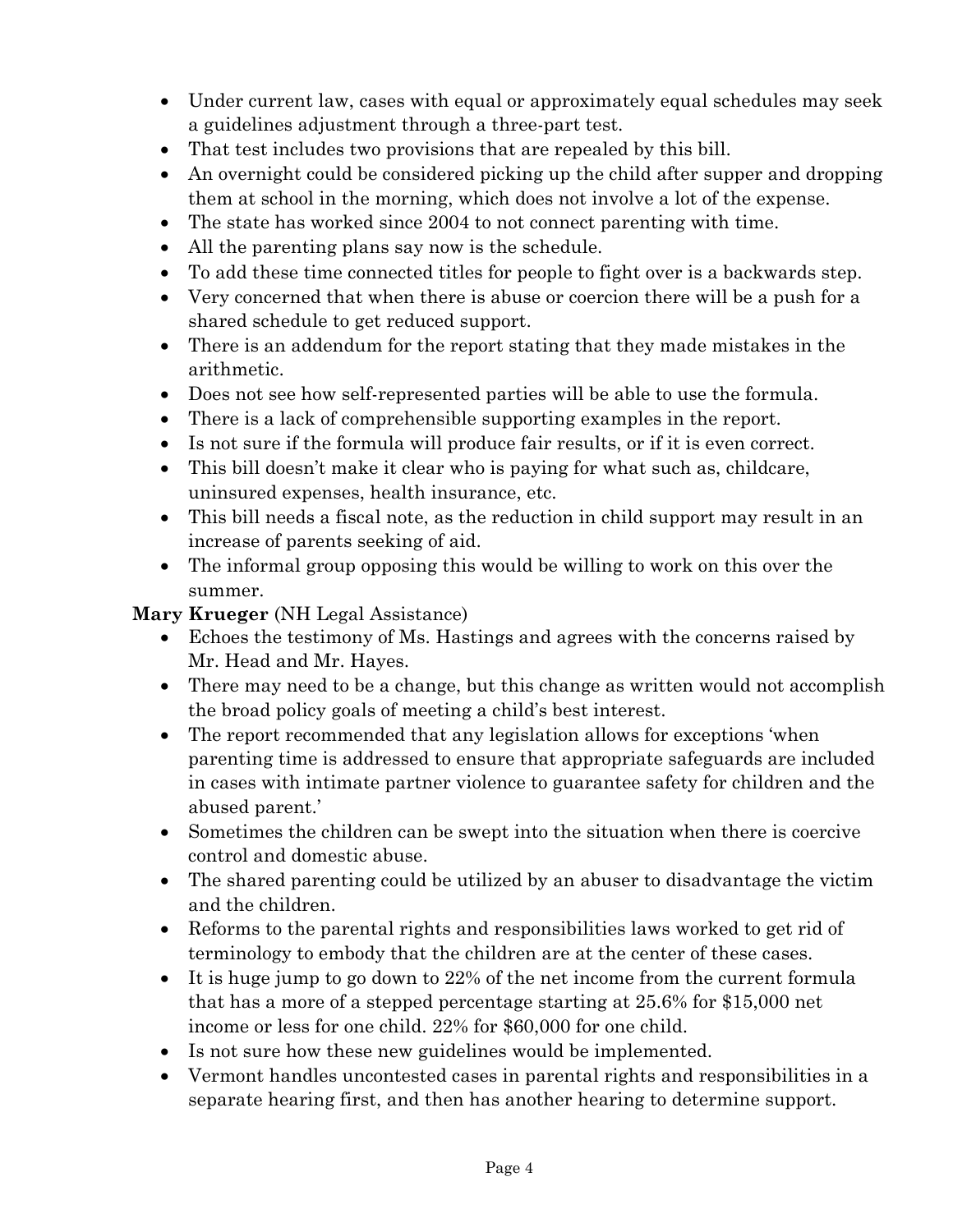- Under current law, cases with equal or approximately equal schedules may seek a guidelines adjustment through a three-part test.
- That test includes two provisions that are repealed by this bill.
- An overnight could be considered picking up the child after supper and dropping them at school in the morning, which does not involve a lot of the expense.
- The state has worked since 2004 to not connect parenting with time.
- All the parenting plans say now is the schedule.
- To add these time connected titles for people to fight over is a backwards step.
- Very concerned that when there is abuse or coercion there will be a push for a shared schedule to get reduced support.
- There is an addendum for the report stating that they made mistakes in the arithmetic.
- Does not see how self-represented parties will be able to use the formula.
- There is a lack of comprehensible supporting examples in the report.
- Is not sure if the formula will produce fair results, or if it is even correct.
- This bill doesn't make it clear who is paying for what such as, childcare, uninsured expenses, health insurance, etc.
- This bill needs a fiscal note, as the reduction in child support may result in an increase of parents seeking of aid.
- The informal group opposing this would be willing to work on this over the summer.

**Mary Krueger** (NH Legal Assistance)

- Echoes the testimony of Ms. Hastings and agrees with the concerns raised by Mr. Head and Mr. Hayes.
- There may need to be a change, but this change as written would not accomplish the broad policy goals of meeting a child's best interest.
- The report recommended that any legislation allows for exceptions 'when parenting time is addressed to ensure that appropriate safeguards are included in cases with intimate partner violence to guarantee safety for children and the abused parent.'
- Sometimes the children can be swept into the situation when there is coercive control and domestic abuse.
- The shared parenting could be utilized by an abuser to disadvantage the victim and the children.
- Reforms to the parental rights and responsibilities laws worked to get rid of terminology to embody that the children are at the center of these cases.
- It is huge jump to go down to 22% of the net income from the current formula that has a more of a stepped percentage starting at 25.6% for \$15,000 net income or less for one child. 22% for \$60,000 for one child.
- Is not sure how these new guidelines would be implemented.
- Vermont handles uncontested cases in parental rights and responsibilities in a separate hearing first, and then has another hearing to determine support.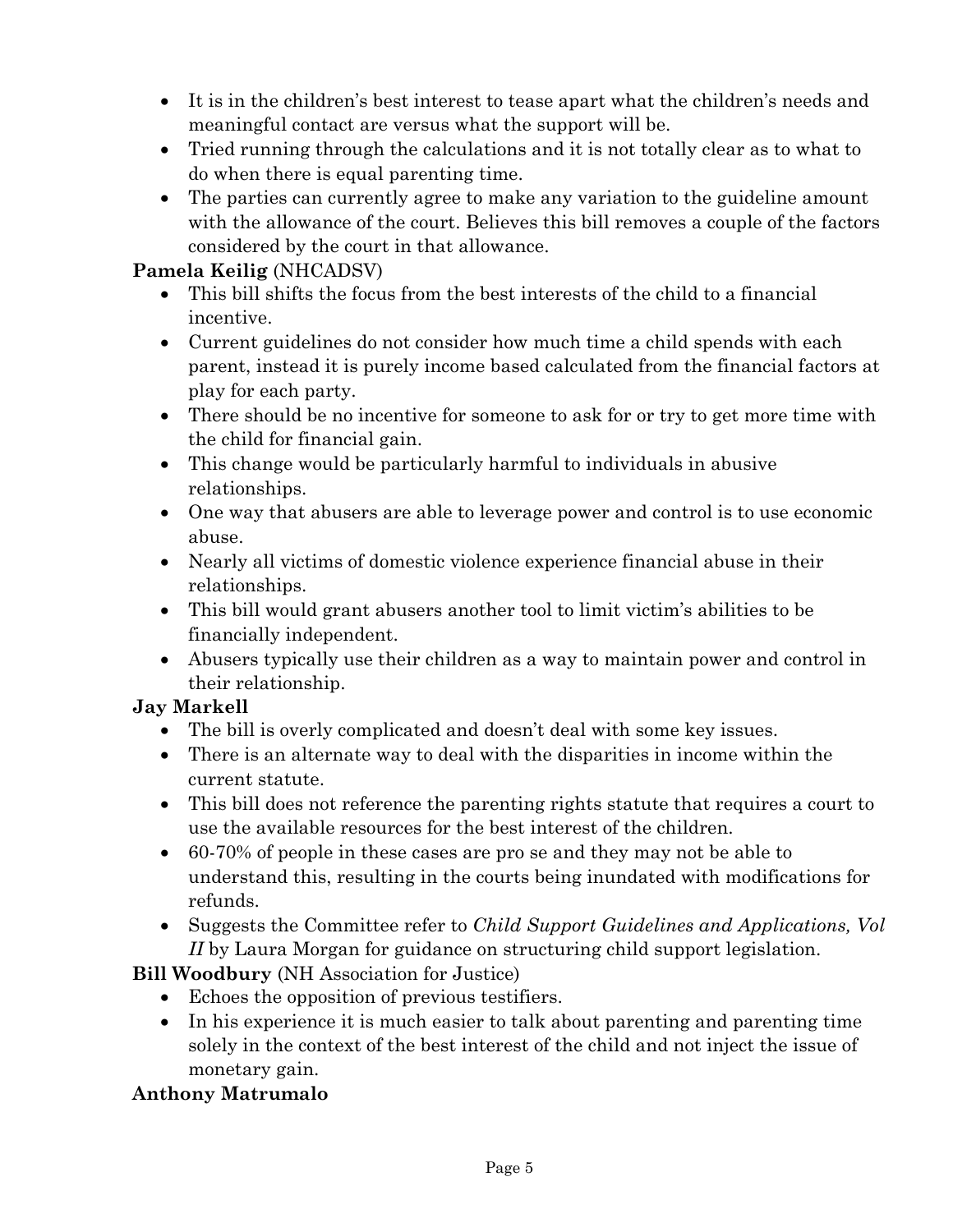- It is in the children's best interest to tease apart what the children's needs and meaningful contact are versus what the support will be.
- Tried running through the calculations and it is not totally clear as to what to do when there is equal parenting time.
- The parties can currently agree to make any variation to the guideline amount with the allowance of the court. Believes this bill removes a couple of the factors considered by the court in that allowance.

#### **Pamela Keilig** (NHCADSV)

- This bill shifts the focus from the best interests of the child to a financial incentive.
- Current guidelines do not consider how much time a child spends with each parent, instead it is purely income based calculated from the financial factors at play for each party.
- There should be no incentive for someone to ask for or try to get more time with the child for financial gain.
- This change would be particularly harmful to individuals in abusive relationships.
- One way that abusers are able to leverage power and control is to use economic abuse.
- Nearly all victims of domestic violence experience financial abuse in their relationships.
- This bill would grant abusers another tool to limit victim's abilities to be financially independent.
- Abusers typically use their children as a way to maintain power and control in their relationship.

#### **Jay Markell**

- The bill is overly complicated and doesn't deal with some key issues.
- There is an alternate way to deal with the disparities in income within the current statute.
- This bill does not reference the parenting rights statute that requires a court to use the available resources for the best interest of the children.
- 60-70% of people in these cases are pro se and they may not be able to understand this, resulting in the courts being inundated with modifications for refunds.
- Suggests the Committee refer to *Child Support Guidelines and Applications, Vol II* by Laura Morgan for guidance on structuring child support legislation.

## **Bill Woodbury** (NH Association for Justice)

- Echoes the opposition of previous testifiers.
- In his experience it is much easier to talk about parenting and parenting time solely in the context of the best interest of the child and not inject the issue of monetary gain.

## **Anthony Matrumalo**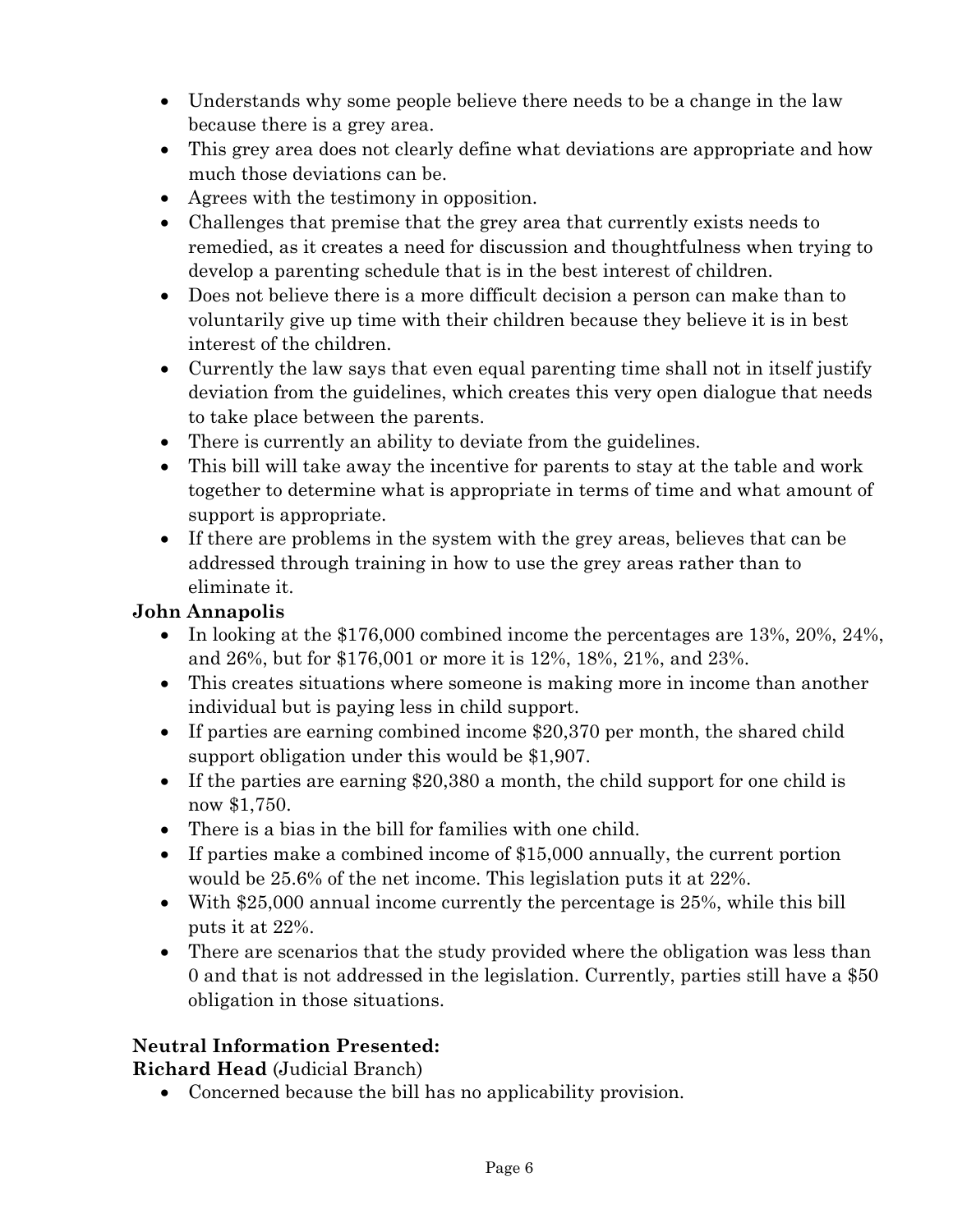- Understands why some people believe there needs to be a change in the law because there is a grey area.
- This grey area does not clearly define what deviations are appropriate and how much those deviations can be.
- Agrees with the testimony in opposition.
- Challenges that premise that the grey area that currently exists needs to remedied, as it creates a need for discussion and thoughtfulness when trying to develop a parenting schedule that is in the best interest of children.
- Does not believe there is a more difficult decision a person can make than to voluntarily give up time with their children because they believe it is in best interest of the children.
- Currently the law says that even equal parenting time shall not in itself justify deviation from the guidelines, which creates this very open dialogue that needs to take place between the parents.
- There is currently an ability to deviate from the guidelines.
- This bill will take away the incentive for parents to stay at the table and work together to determine what is appropriate in terms of time and what amount of support is appropriate.
- If there are problems in the system with the grey areas, believes that can be addressed through training in how to use the grey areas rather than to eliminate it.

### **John Annapolis**

- In looking at the  $$176,000$  combined income the percentages are  $13\%$ ,  $20\%$ ,  $24\%$ , and 26%, but for \$176,001 or more it is 12%, 18%, 21%, and 23%.
- This creates situations where someone is making more in income than another individual but is paying less in child support.
- If parties are earning combined income \$20,370 per month, the shared child support obligation under this would be \$1,907.
- If the parties are earning \$20,380 a month, the child support for one child is now \$1,750.
- There is a bias in the bill for families with one child.
- If parties make a combined income of \$15,000 annually, the current portion would be 25.6% of the net income. This legislation puts it at 22%.
- With \$25,000 annual income currently the percentage is 25%, while this bill puts it at 22%.
- There are scenarios that the study provided where the obligation was less than 0 and that is not addressed in the legislation. Currently, parties still have a \$50 obligation in those situations.

## **Neutral Information Presented:**

**Richard Head** (Judicial Branch)

Concerned because the bill has no applicability provision.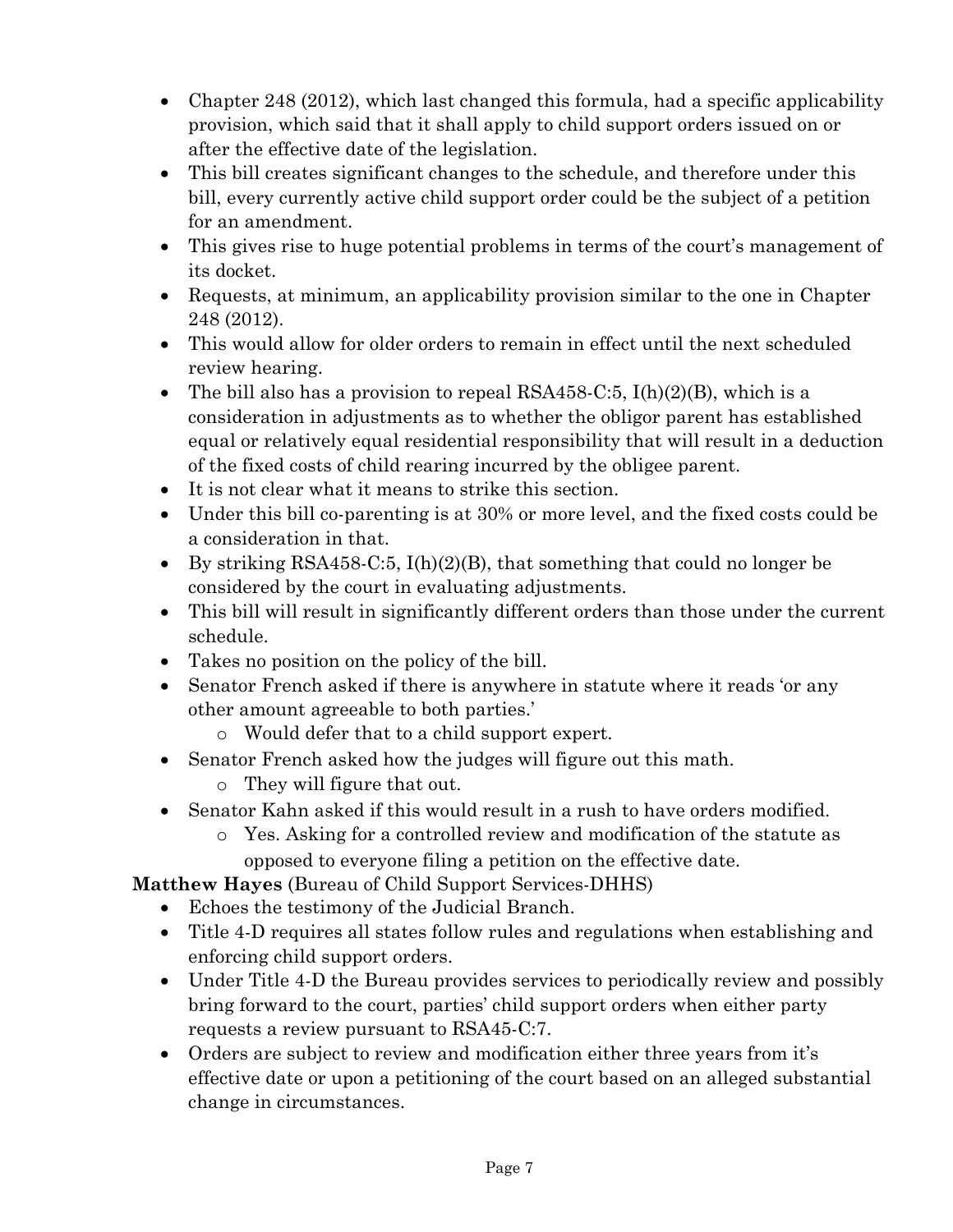- Chapter 248 (2012), which last changed this formula, had a specific applicability provision, which said that it shall apply to child support orders issued on or after the effective date of the legislation.
- This bill creates significant changes to the schedule, and therefore under this bill, every currently active child support order could be the subject of a petition for an amendment.
- This gives rise to huge potential problems in terms of the court's management of its docket.
- Requests, at minimum, an applicability provision similar to the one in Chapter 248 (2012).
- This would allow for older orders to remain in effect until the next scheduled review hearing.
- The bill also has a provision to repeal RSA458-C:5,  $I(h)(2)(B)$ , which is a consideration in adjustments as to whether the obligor parent has established equal or relatively equal residential responsibility that will result in a deduction of the fixed costs of child rearing incurred by the obligee parent.
- It is not clear what it means to strike this section.
- Under this bill co-parenting is at 30% or more level, and the fixed costs could be a consideration in that.
- By striking RSA458-C:5,  $I(h)(2)(B)$ , that something that could no longer be considered by the court in evaluating adjustments.
- This bill will result in significantly different orders than those under the current schedule.
- Takes no position on the policy of the bill.
- Senator French asked if there is anywhere in statute where it reads 'or any other amount agreeable to both parties.'
	- o Would defer that to a child support expert.
- Senator French asked how the judges will figure out this math.
	- o They will figure that out.
- Senator Kahn asked if this would result in a rush to have orders modified.
	- o Yes. Asking for a controlled review and modification of the statute as opposed to everyone filing a petition on the effective date.

**Matthew Hayes** (Bureau of Child Support Services-DHHS)

- Echoes the testimony of the Judicial Branch.
- Title 4-D requires all states follow rules and regulations when establishing and enforcing child support orders.
- Under Title 4-D the Bureau provides services to periodically review and possibly bring forward to the court, parties' child support orders when either party requests a review pursuant to RSA45-C:7.
- Orders are subject to review and modification either three years from it's effective date or upon a petitioning of the court based on an alleged substantial change in circumstances.